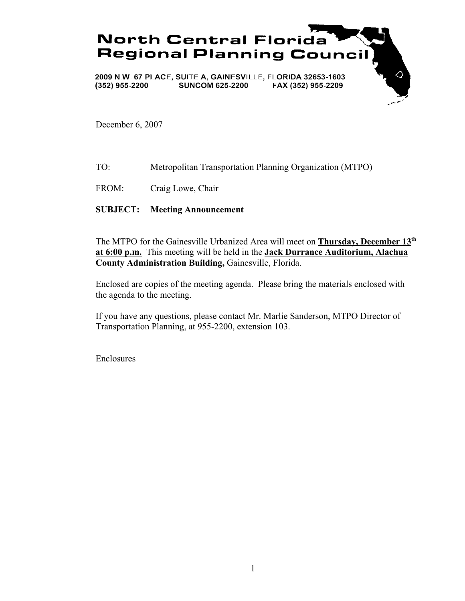

December 6, 2007

- TO: Metropolitan Transportation Planning Organization (MTPO)
- FROM: Craig Lowe, Chair

### **SUBJECT: Meeting Announcement**

The MTPO for the Gainesville Urbanized Area will meet on **Thursday, December 13th at 6:00 p.m.** This meeting will be held in the **Jack Durrance Auditorium, Alachua County Administration Building,** Gainesville, Florida.

Enclosed are copies of the meeting agenda. Please bring the materials enclosed with the agenda to the meeting.

If you have any questions, please contact Mr. Marlie Sanderson, MTPO Director of Transportation Planning, at 955-2200, extension 103.

Enclosures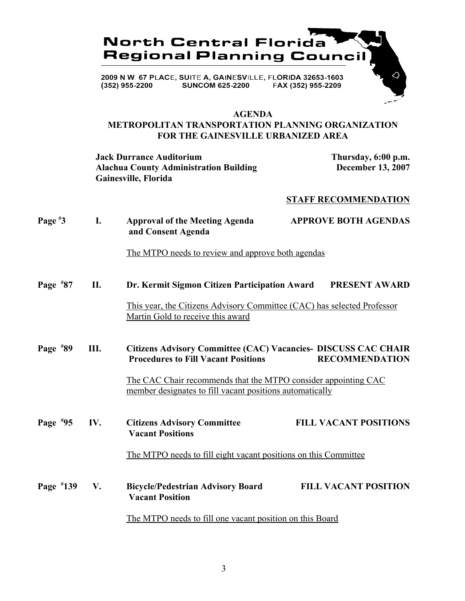

#### **AGENDA**

### **METROPOLITAN TRANSPORTATION PLANNING ORGANIZATION FOR THE GAINESVILLE URBANIZED AREA**

**Jack Durrance Auditorium Thursday, 6:00 p.m. Alachua County Administration Building December 13, 2007 Gainesville, Florida**

### **STAFF RECOMMENDATION**

| Page $*3$  | I.  | <b>Approval of the Meeting Agenda</b><br>and Consent Agenda                                                                | <b>APPROVE BOTH AGENDAS</b>                                                                    |  |
|------------|-----|----------------------------------------------------------------------------------------------------------------------------|------------------------------------------------------------------------------------------------|--|
|            |     | The MTPO needs to review and approve both agendas                                                                          |                                                                                                |  |
| Page $*87$ | II. | Dr. Kermit Sigmon Citizen Participation Award                                                                              | <b>PRESENT AWARD</b>                                                                           |  |
|            |     | This year, the Citizens Advisory Committee (CAC) has selected Professor<br>Martin Gold to receive this award               |                                                                                                |  |
| Page $*89$ | Ш.  | <b>Procedures to Fill Vacant Positions</b>                                                                                 | <b>Citizens Advisory Committee (CAC) Vacancies- DISCUSS CAC CHAIR</b><br><b>RECOMMENDATION</b> |  |
|            |     | The CAC Chair recommends that the MTPO consider appointing CAC<br>member designates to fill vacant positions automatically |                                                                                                |  |
| Page $*95$ | IV. | <b>Citizens Advisory Committee</b><br><b>Vacant Positions</b>                                                              | <b>FILL VACANT POSITIONS</b>                                                                   |  |
|            |     |                                                                                                                            | The MTPO needs to fill eight vacant positions on this Committee                                |  |
| Page #139  | V.  | <b>Bicycle/Pedestrian Advisory Board</b><br><b>Vacant Position</b>                                                         | <b>FILL VACANT POSITION</b>                                                                    |  |
|            |     | The MTPO needs to fill one vacant position on this Board                                                                   |                                                                                                |  |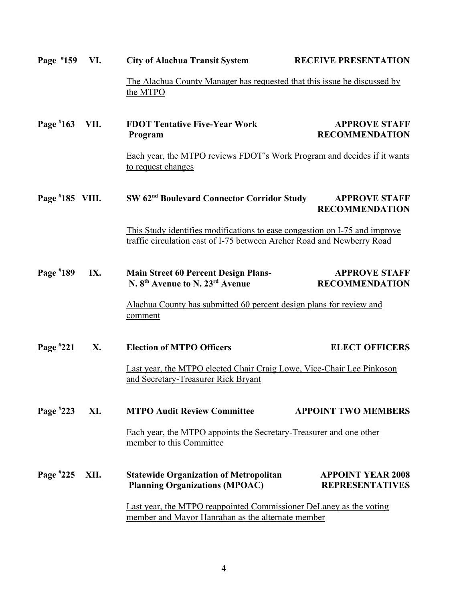| Page #159         | VI.                                                                            | <b>City of Alachua Transit System</b>                                                                                                                | <b>RECEIVE PRESENTATION</b>                                        |  |  |
|-------------------|--------------------------------------------------------------------------------|------------------------------------------------------------------------------------------------------------------------------------------------------|--------------------------------------------------------------------|--|--|
|                   |                                                                                | The Alachua County Manager has requested that this issue be discussed by<br>the MTPO                                                                 |                                                                    |  |  |
| Page #163         | VII.                                                                           | <b>FDOT Tentative Five-Year Work</b><br>Program                                                                                                      | <b>APPROVE STAFF</b><br><b>RECOMMENDATION</b>                      |  |  |
|                   |                                                                                | Each year, the MTPO reviews FDOT's Work Program and decides if it wants<br>to request changes                                                        |                                                                    |  |  |
| Page $*185$ VIII. |                                                                                | SW 62 <sup>nd</sup> Boulevard Connector Corridor Study                                                                                               | <b>APPROVE STAFF</b><br><b>RECOMMENDATION</b>                      |  |  |
|                   |                                                                                | This Study identifies modifications to ease congestion on I-75 and improve<br>traffic circulation east of I-75 between Archer Road and Newberry Road |                                                                    |  |  |
| Page #189         | IX.                                                                            | <b>Main Street 60 Percent Design Plans-</b><br>N. 8 <sup>th</sup> Avenue to N. 23 <sup>rd</sup> Avenue                                               | <b>APPROVE STAFF</b><br><b>RECOMMENDATION</b>                      |  |  |
|                   | Alachua County has submitted 60 percent design plans for review and<br>comment |                                                                                                                                                      |                                                                    |  |  |
| Page $*221$       | X.                                                                             | <b>Election of MTPO Officers</b>                                                                                                                     | <b>ELECT OFFICERS</b>                                              |  |  |
|                   |                                                                                | Last year, the MTPO elected Chair Craig Lowe, Vice-Chair Lee Pinkoson<br>and Secretary-Treasurer Rick Bryant                                         |                                                                    |  |  |
| Page #223         | XI.                                                                            | <b>MTPO Audit Review Committee</b>                                                                                                                   | <b>APPOINT TWO MEMBERS</b>                                         |  |  |
|                   |                                                                                | Each year, the MTPO appoints the Secretary-Treasurer and one other<br>member to this Committee                                                       |                                                                    |  |  |
| Page #225         | XII.                                                                           | <b>Statewide Organization of Metropolitan</b><br><b>Planning Organizations (MPOAC)</b>                                                               | <b>APPOINT YEAR 2008</b><br><b>REPRESENTATIVES</b>                 |  |  |
|                   |                                                                                | member and Mayor Hanrahan as the alternate member                                                                                                    | Last year, the MTPO reappointed Commissioner DeLaney as the voting |  |  |
|                   |                                                                                |                                                                                                                                                      |                                                                    |  |  |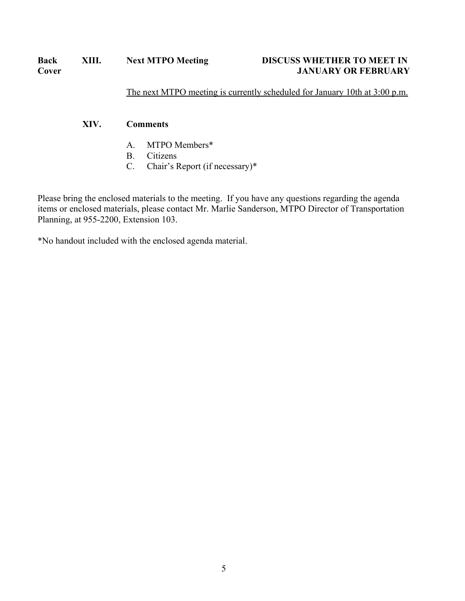# **Cover JANUARY OR FEBRUARY**

The next MTPO meeting is currently scheduled for January 10th at 3:00 p.m.

### **XIV. Comments**

- A. MTPO Members\*
- B. Citizens
- C. Chair's Report (if necessary)\*

Please bring the enclosed materials to the meeting. If you have any questions regarding the agenda items or enclosed materials, please contact Mr. Marlie Sanderson, MTPO Director of Transportation Planning, at 955-2200, Extension 103.

\*No handout included with the enclosed agenda material.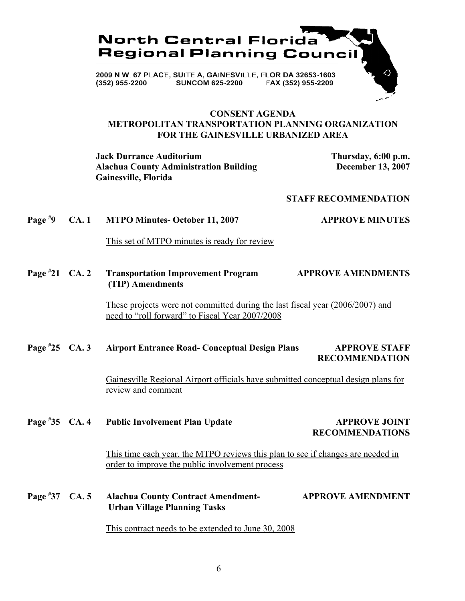

#### **CONSENT AGENDA METROPOLITAN TRANSPORTATION PLANNING ORGANIZATION FOR THE GAINESVILLE URBANIZED AREA**

**Jack Durrance Auditorium Thursday, 6:00 p.m. Alachua County Administration Building December 13, 2007 Gainesville, Florida**

### **STAFF RECOMMENDATION**

#### **Page # 9 CA. 1 MTPO Minutes- October 11, 2007 APPROVE MINUTES**

This set of MTPO minutes is ready for review

**Page # 21 CA. 2 Transportation Improvement Program APPROVE AMENDMENTS (TIP) Amendments**

> These projects were not committed during the last fiscal year (2006/2007) and need to "roll forward" to Fiscal Year 2007/2008

#### Page #25 CA. 3 **25 CA. 3 Airport Entrance Road- Conceptual Design Plans APPROVE STAFF RECOMMENDATION**

Gainesville Regional Airport officials have submitted conceptual design plans for review and comment

#### **Page # 25 Public Involvement Plan Update APPROVE JOINT**

## **RECOMMENDATIONS**

This time each year, the MTPO reviews this plan to see if changes are needed in order to improve the public involvement process

#### **Page #** Alachua County Contract Amendment- **APPROVE AMENDMENT Urban Village Planning Tasks**

This contract needs to be extended to June 30, 2008